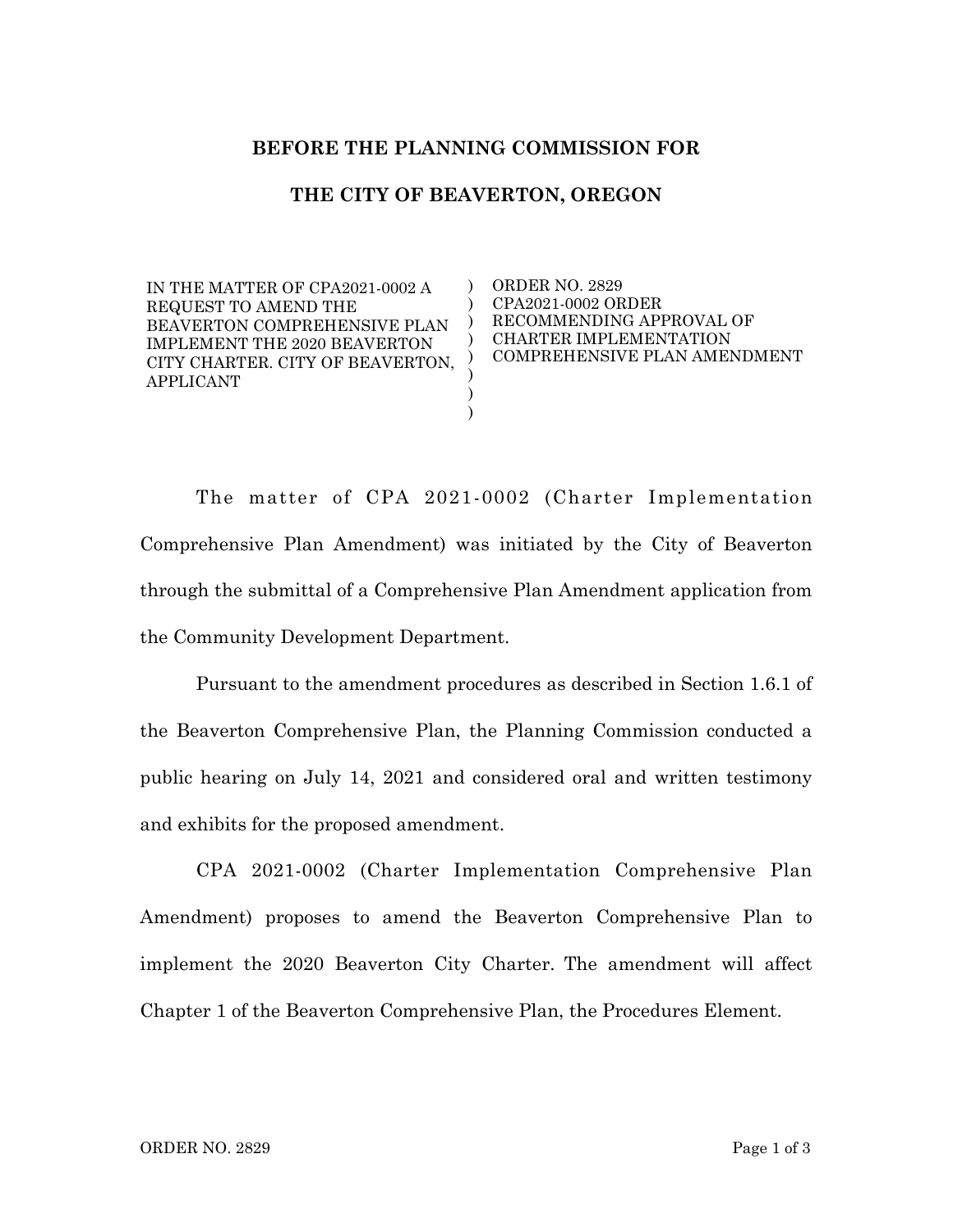## **BEFORE THE PLANNING COMMISSION FOR**

## **THE CITY OF BEAVERTON, OREGON**

) )  $)$ ) ) ) ) )

IN THE MATTER OF CPA2021-0002 A REQUEST TO AMEND THE BEAVERTON COMPREHENSIVE PLAN IMPLEMENT THE 2020 BEAVERTON CITY CHARTER. CITY OF BEAVERTON, APPLICANT

ORDER NO. 2829 CPA2021-0002 ORDER RECOMMENDING APPROVAL OF CHARTER IMPLEMENTATION COMPREHENSIVE PLAN AMENDMENT

The matter of CPA 2021-0002 (Charter Implementation Comprehensive Plan Amendment) was initiated by the City of Beaverton through the submittal of a Comprehensive Plan Amendment application from the Community Development Department.

Pursuant to the amendment procedures as described in Section 1.6.1 of the Beaverton Comprehensive Plan, the Planning Commission conducted a public hearing on July 14, 2021 and considered oral and written testimony and exhibits for the proposed amendment.

CPA 2021-0002 (Charter Implementation Comprehensive Plan Amendment) proposes to amend the Beaverton Comprehensive Plan to implement the 2020 Beaverton City Charter. The amendment will affect Chapter 1 of the Beaverton Comprehensive Plan, the Procedures Element.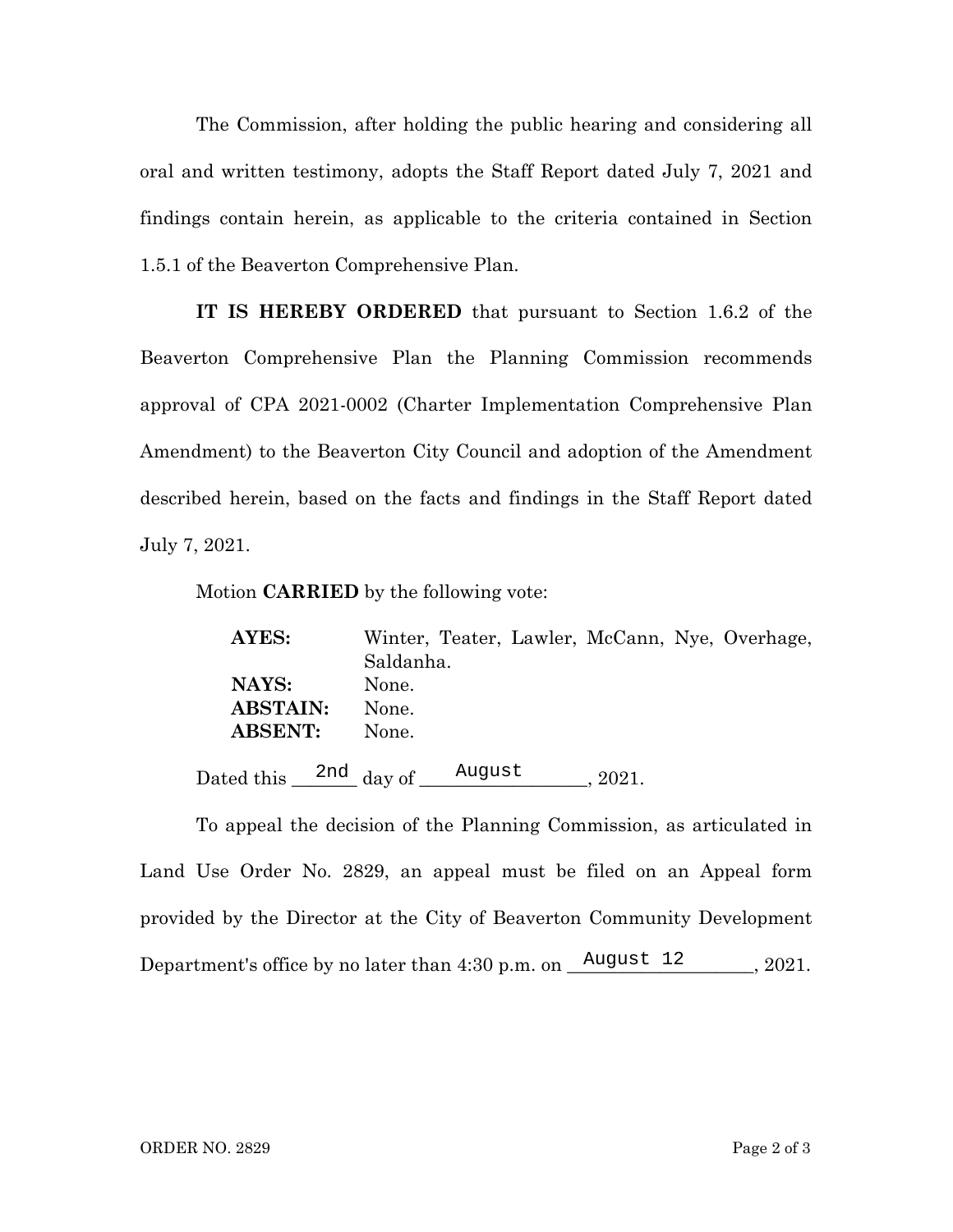The Commission, after holding the public hearing and considering all oral and written testimony, adopts the Staff Report dated July 7, 2021 and findings contain herein, as applicable to the criteria contained in Section 1.5.1 of the Beaverton Comprehensive Plan.

**IT IS HEREBY ORDERED** that pursuant to Section 1.6.2 of the Beaverton Comprehensive Plan the Planning Commission recommends approval of CPA 2021-0002 (Charter Implementation Comprehensive Plan Amendment) to the Beaverton City Council and adoption of the Amendment described herein, based on the facts and findings in the Staff Report dated July 7, 2021.

Motion **CARRIED** by the following vote:

| AYES:                                  | Winter, Teater, Lawler, McCann, Nye, Overhage, |
|----------------------------------------|------------------------------------------------|
|                                        | Saldanha.                                      |
| NAYS:                                  | None.                                          |
| <b>ABSTAIN:</b>                        | None.                                          |
| <b>ABSENT:</b>                         | None.                                          |
| Dated this $\frac{2nd}{\text{day of}}$ | August<br>2021.                                |

To appeal the decision of the Planning Commission, as articulated in Land Use Order No. 2829, an appeal must be filed on an Appeal form provided by the Director at the City of Beaverton Community Development Department's office by no later than  $4:30$  p.m. on  $\frac{\text{August 12}}{\text{August 22}}$ , 2021.  $\frac{2nd}{2}$  day of  $\frac{\text{August}}{\text{August}}$ , 2021.<br>
August 2021.<br>
August 2021.<br>
August 2029, an appeal must be filed on arector at the City of Beaverton Community<br>
August 12